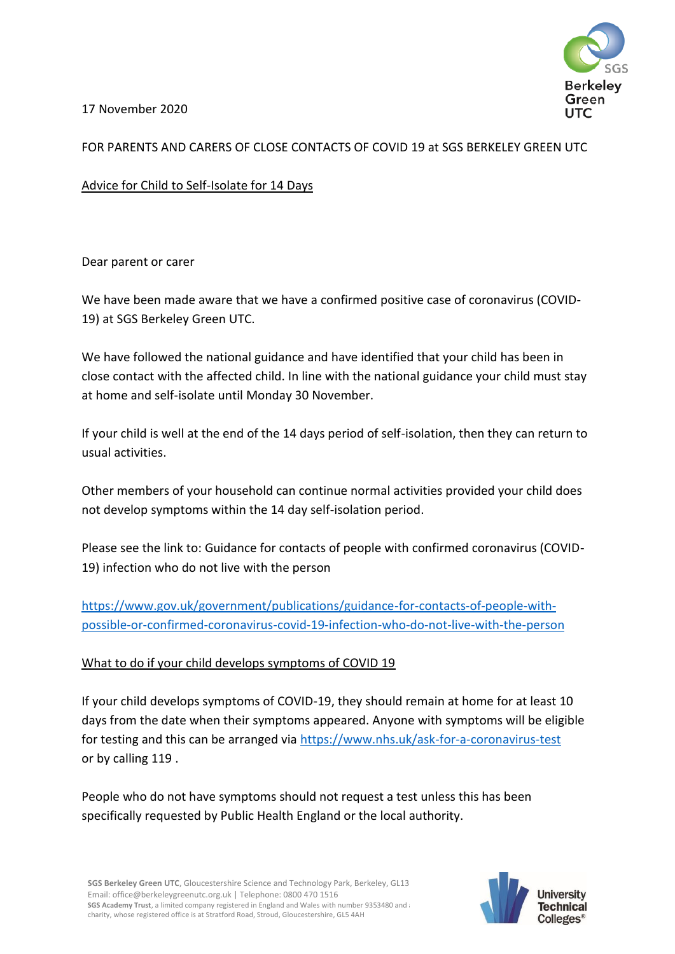

17 November 2020

# FOR PARENTS AND CARERS OF CLOSE CONTACTS OF COVID 19 at SGS BERKELEY GREEN UTC

Advice for Child to Self-Isolate for 14 Days

Dear parent or carer

We have been made aware that we have a confirmed positive case of coronavirus (COVID-19) at SGS Berkeley Green UTC.

We have followed the national guidance and have identified that your child has been in close contact with the affected child. In line with the national guidance your child must stay at home and self-isolate until Monday 30 November.

If your child is well at the end of the 14 days period of self-isolation, then they can return to usual activities.

Other members of your household can continue normal activities provided your child does not develop symptoms within the 14 day self-isolation period.

Please see the link to: Guidance for contacts of people with confirmed coronavirus (COVID-19) infection who do not live with the person

[https://www.gov.uk/government/publications/guidance-for-contacts-of-people-with](https://www.gov.uk/government/publications/guidance-for-contacts-of-people-with-possible-or-confirmed-coronavirus-covid-19-infection-who-do-not-live-with-the-person)[possible-or-confirmed-coronavirus-covid-19-infection-who-do-not-live-with-the-person](https://www.gov.uk/government/publications/guidance-for-contacts-of-people-with-possible-or-confirmed-coronavirus-covid-19-infection-who-do-not-live-with-the-person)

## What to do if your child develops symptoms of COVID 19

If your child develops symptoms of COVID-19, they should remain at home for at least 10 days from the date when their symptoms appeared. Anyone with symptoms will be eligible for testing and this can be arranged via<https://www.nhs.uk/ask-for-a-coronavirus-test> or by calling 119 .

People who do not have symptoms should not request a test unless this has been specifically requested by Public Health England or the local authority.

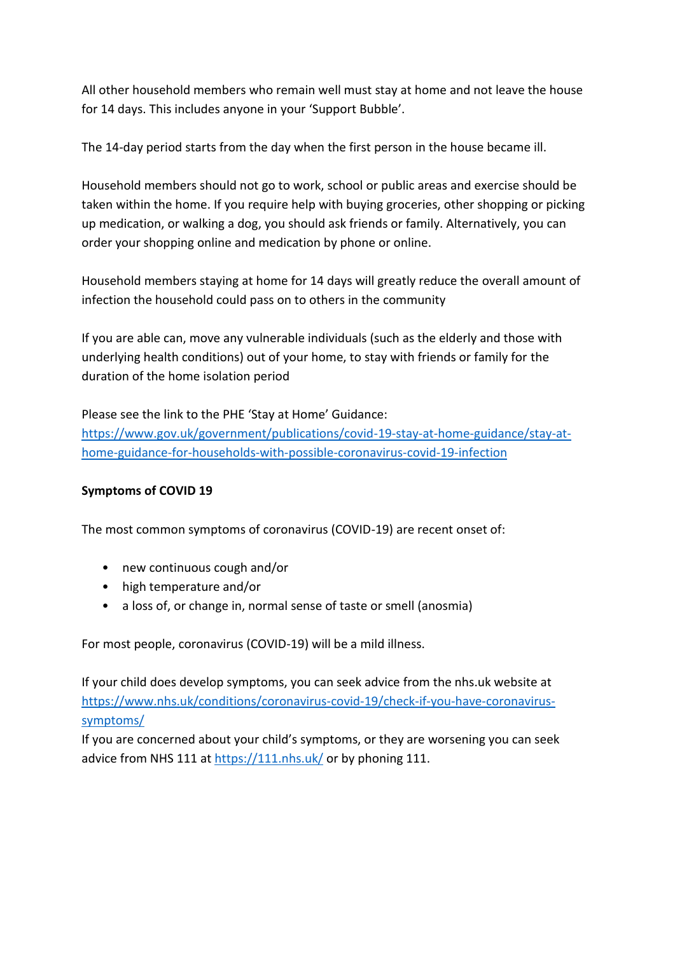All other household members who remain well must stay at home and not leave the house for 14 days. This includes anyone in your 'Support Bubble'.

The 14-day period starts from the day when the first person in the house became ill.

Household members should not go to work, school or public areas and exercise should be taken within the home. If you require help with buying groceries, other shopping or picking up medication, or walking a dog, you should ask friends or family. Alternatively, you can order your shopping online and medication by phone or online.

Household members staying at home for 14 days will greatly reduce the overall amount of infection the household could pass on to others in the community

If you are able can, move any vulnerable individuals (such as the elderly and those with underlying health conditions) out of your home, to stay with friends or family for the duration of the home isolation period

Please see the link to the PHE 'Stay at Home' Guidance: [https://www.gov.uk/government/publications/covid-19-stay-at-home-guidance/stay-at](https://www.gov.uk/government/publications/covid-19-stay-at-home-guidance/stay-at-home-guidance-for-households-with-possible-coronavirus-covid-19-infection)[home-guidance-for-households-with-possible-coronavirus-covid-19-infection](https://www.gov.uk/government/publications/covid-19-stay-at-home-guidance/stay-at-home-guidance-for-households-with-possible-coronavirus-covid-19-infection)

## **Symptoms of COVID 19**

The most common symptoms of coronavirus (COVID-19) are recent onset of:

- new continuous cough and/or
- high temperature and/or
- a loss of, or change in, normal sense of taste or smell (anosmia)

For most people, coronavirus (COVID-19) will be a mild illness.

If your child does develop symptoms, you can seek advice from the nhs.uk website at [https://www.nhs.uk/conditions/coronavirus-covid-19/check-if-you-have-coronavirus](https://www.nhs.uk/conditions/coronavirus-covid-19/check-if-you-have-coronavirus-symptoms/)[symptoms/](https://www.nhs.uk/conditions/coronavirus-covid-19/check-if-you-have-coronavirus-symptoms/)

If you are concerned about your child's symptoms, or they are worsening you can seek advice from NHS 111 at<https://111.nhs.uk/> or by phoning 111.